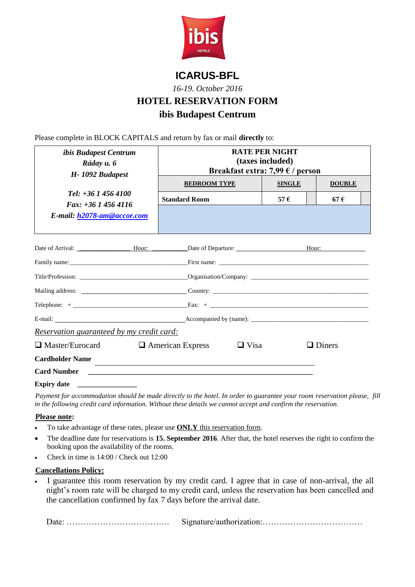

## **ICARUS-BFL**

*16-19. October 2016*

# **HOTEL RESERVATION FORM**

# **ibis Budapest Centrum**

Please complete in BLOCK CAPITALS and return by fax or mail **directly** to:

| <i>ibis Budapest Centrum</i><br>Ráday u. 6<br>H-1092 Budapest                  | <b>RATE PER NIGHT</b><br>(taxes included)<br>Breakfast extra: 7,99 $\epsilon$ / person |               |               |
|--------------------------------------------------------------------------------|----------------------------------------------------------------------------------------|---------------|---------------|
| Tel: $+36$ 1 456 4100<br>Fax: $+36$ 1 456 4116                                 | <b>BEDROOM TYPE</b>                                                                    | <b>SINGLE</b> | <b>DOUBLE</b> |
|                                                                                | <b>Standard Room</b>                                                                   | 57 $\epsilon$ | 67E           |
| E-mail: h2078-am@accor.com                                                     |                                                                                        |               |               |
| Date of Arrival: <u>Nour:</u> Nour: Date of Departure: Nour: Nour: Nour: Nour: |                                                                                        |               |               |
|                                                                                |                                                                                        |               |               |
|                                                                                |                                                                                        |               |               |
|                                                                                |                                                                                        |               |               |
|                                                                                |                                                                                        |               |               |
|                                                                                |                                                                                        |               |               |
| Reservation guaranteed by my credit card:                                      |                                                                                        |               |               |
| $\Box$ Master/Eurocard<br>$\Box$ Visa<br>$\Box$ American Express               |                                                                                        | $\Box$ Diners |               |
| <b>Cardholder Name</b>                                                         |                                                                                        |               |               |
| <b>Card Number</b>                                                             |                                                                                        |               |               |
| <b>Expiry date</b>                                                             |                                                                                        |               |               |

*Payment for accommodation should be made directly to the hotel. In order to guarantee your room reservation please, fill in the following credit card information. Without these details we cannot accept and confirm the reservation.*

#### **Please note:**

- To take advantage of these rates, please use **ONLY** this reservation form.
- The deadline date for reservations is **15. September 2016**. After that, the hotel reserves the right to confirm the booking upon the availability of the rooms.
- Check in time is 14:00 / Check out 12:00

#### **Cancellations Policy:**

 I guarantee this room reservation by my credit card. I agree that in case of non-arrival, the all night's room rate will be charged to my credit card, unless the reservation has been cancelled and the cancellation confirmed by fax 7 days before the arrival date.

Date: ………………………………. Signature/authorization:………………………………